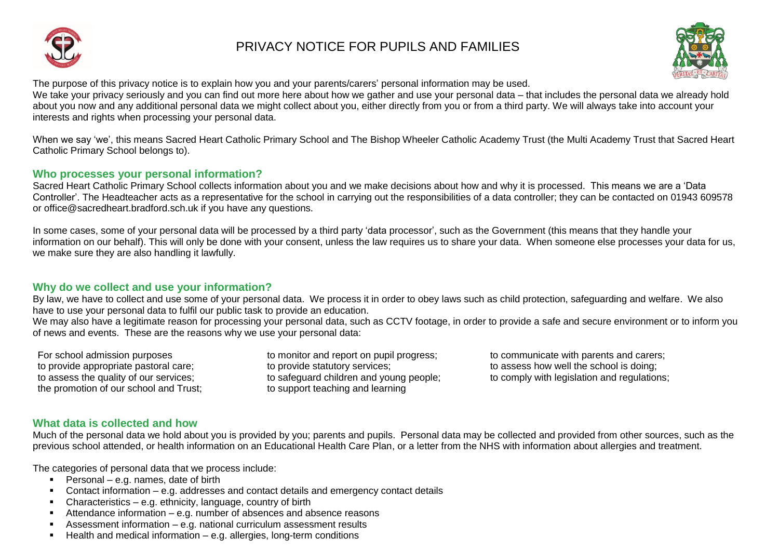

# PRIVACY NOTICE FOR PUPILS AND FAMILIES



The purpose of this privacy notice is to explain how you and your parents/carers' personal information may be used.

We take your privacy seriously and you can find out more here about how we gather and use your personal data – that includes the personal data we already hold about you now and any additional personal data we might collect about you, either directly from you or from a third party. We will always take into account your interests and rights when processing your personal data.

When we say 'we', this means Sacred Heart Catholic Primary School and The Bishop Wheeler Catholic Academy Trust (the Multi Academy Trust that Sacred Heart Catholic Primary School belongs to).

#### **Who processes your personal information?**

Sacred Heart Catholic Primary School collects information about you and we make decisions about how and why it is processed. This means we are a 'Data Controller'. The Headteacher acts as a representative for the school in carrying out the responsibilities of a data controller; they can be contacted on 01943 609578 or office@sacredheart.bradford.sch.uk if you have any questions.

In some cases, some of your personal data will be processed by a third party 'data processor', such as the Government (this means that they handle your information on our behalf). This will only be done with your consent, unless the law requires us to share your data. When someone else processes your data for us, we make sure they are also handling it lawfully.

## **Why do we collect and use your information?**

By law, we have to collect and use some of your personal data. We process it in order to obey laws such as child protection, safeguarding and welfare. We also have to use your personal data to fulfil our public task to provide an education.

We may also have a legitimate reason for processing your personal data, such as CCTV footage, in order to provide a safe and secure environment or to inform you of news and events. These are the reasons why we use your personal data:

the promotion of our school and Trust; to support teaching and learning

to provide appropriate pastoral care; to provide statutory services; to assess how well the school is doing;

For school admission purposes to monitor and report on pupil progress; the communicate with parents and carers; to assess the quality of our services; the safequard children and young people; to comply with legislation and regulations;

# **What data is collected and how**

Much of the personal data we hold about you is provided by you; parents and pupils. Personal data may be collected and provided from other sources, such as the previous school attended, or health information on an Educational Health Care Plan, or a letter from the NHS with information about allergies and treatment.

The categories of personal data that we process include:

- Personal e.g. names, date of birth
- Contact information e.g. addresses and contact details and emergency contact details
- $\blacksquare$  Characteristics e.g. ethnicity, language, country of birth
- **Attendance information e.g. number of absences and absence reasons**
- Assessment information e.g. national curriculum assessment results
- $\blacksquare$  Health and medical information e.g. allergies, long-term conditions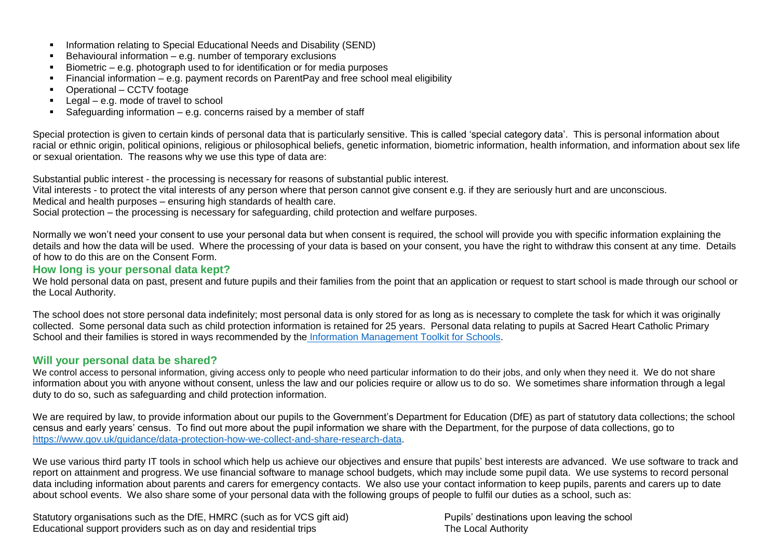- **Information relating to Special Educational Needs and Disability (SEND)**
- $\blacksquare$  Behavioural information e.g. number of temporary exclusions
- Biometric e.g. photograph used to for identification or for media purposes
- Financial information e.g. payment records on ParentPay and free school meal eligibility
- Operational CCTV footage
- $Legal e.g.$  mode of travel to school
- Safeguarding information e.g. concerns raised by a member of staff

Special protection is given to certain kinds of personal data that is particularly sensitive. This is called 'special category data'. This is personal information about racial or ethnic origin, political opinions, religious or philosophical beliefs, genetic information, biometric information, health information, and information about sex life or sexual orientation. The reasons why we use this type of data are:

Substantial public interest - the processing is necessary for reasons of substantial public interest.

Vital interests - to protect the vital interests of any person where that person cannot give consent e.g. if they are seriously hurt and are unconscious.

Medical and health purposes – ensuring high standards of health care.

Social protection – the processing is necessary for safeguarding, child protection and welfare purposes.

Normally we won't need your consent to use your personal data but when consent is required, the school will provide you with specific information explaining the details and how the data will be used. Where the processing of your data is based on your consent, you have the right to withdraw this consent at any time. Details of how to do this are on the Consent Form.

## **How long is your personal data kept?**

We hold personal data on past, present and future pupils and their families from the point that an application or request to start school is made through our school or the Local Authority.

The school does not store personal data indefinitely; most personal data is only stored for as long as is necessary to complete the task for which it was originally collected. Some personal data such as child protection information is retained for 25 years. Personal data relating to pupils at Sacred Heart Catholic Primary School and their families is stored in ways recommended by the [Information Management Toolkit for Schools.](https://cdn.ymaws.com/irms.site-ym.com/resource/collection/8BCEF755-0353-4F66-9877-CCDA4BFEEAC4/2016_IRMS_Toolkit_for_Schools_v5_Master.pdf)

## **Will your personal data be shared?**

We control access to personal information, giving access only to people who need particular information to do their jobs, and only when they need it. We do not share information about you with anyone without consent, unless the law and our policies require or allow us to do so. We sometimes share information through a legal duty to do so, such as safeguarding and child protection information.

We are required by law, to provide information about our pupils to the Government's Department for Education (DfE) as part of statutory data collections; the school census and early years' census. To find out more about the pupil information we share with the Department, for the purpose of data collections, go to [https://www.gov.uk/guidance/data-protection-how-we-collect-and-share-research-data.](https://www.gov.uk/guidance/data-protection-how-we-collect-and-share-research-data)

We use various third party IT tools in school which help us achieve our objectives and ensure that pupils' best interests are advanced. We use software to track and report on attainment and progress. We use financial software to manage school budgets, which may include some pupil data. We use systems to record personal data including information about parents and carers for emergency contacts. We also use your contact information to keep pupils, parents and carers up to date about school events. We also share some of your personal data with the following groups of people to fulfil our duties as a school, such as:

Statutory organisations such as the DfE, HMRC (such as for VCS gift aid) Pupils' destinations upon leaving the school Educational support providers such as on day and residential trips The Local Authority